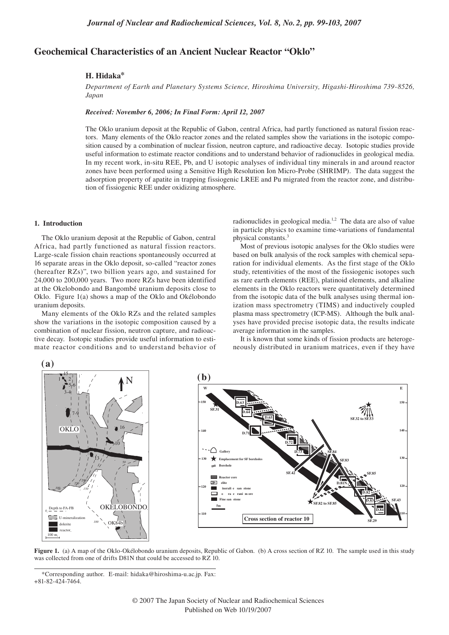# **Geochemical Characteristics of an Ancient Nuclear Reactor "Oklo"**

# **H. Hidaka\***

*Department of Earth and Planetary Systems Science, Hiroshima University, Higashi-Hiroshima 739-8526, Japan*

*Received: November 6, 2006; In Final Form: April 12, 2007*

The Oklo uranium deposit at the Republic of Gabon, central Africa, had partly functioned as natural fission reactors. Many elements of the Oklo reactor zones and the related samples show the variations in the isotopic composition caused by a combination of nuclear fission, neutron capture, and radioactive decay. Isotopic studies provide useful information to estimate reactor conditions and to understand behavior of radionuclides in geological media. In my recent work, in-situ REE, Pb, and U isotopic analyses of individual tiny minerals in and around reactor zones have been performed using a Sensitive High Resolution Ion Micro-Probe (SHRIMP). The data suggest the adsorption property of apatite in trapping fissiogenic LREE and Pu migrated from the reactor zone, and distribution of fissiogenic REE under oxidizing atmosphere.

#### **1. Introduction**

The Oklo uranium deposit at the Republic of Gabon, central Africa, had partly functioned as natural fission reactors. Large-scale fission chain reactions spontaneously occurred at 16 separate areas in the Oklo deposit, so-called "reactor zones (hereafter RZs)", two billion years ago, and sustained for 24,000 to 200,000 years. Two more RZs have been identified at the Okelobondo and Bangombé uranium deposits close to Oklo. Figure 1(a) shows a map of the Oklo and Okélobondo uranium deposits.

Many elements of the Oklo RZs and the related samples show the variations in the isotopic composition caused by a combination of nuclear fission, neutron capture, and radioactive decay. Isotopic studies provide useful information to estimate reactor conditions and to understand behavior of radionuclides in geological media.<sup>1,2</sup> The data are also of value in particle physics to examine time-variations of fundamental physical constants.3

Most of previous isotopic analyses for the Oklo studies were based on bulk analysis of the rock samples with chemical separation for individual elements. As the first stage of the Oklo study, retentivities of the most of the fissiogenic isotopes such as rare earth elements (REE), platinoid elements, and alkaline elements in the Oklo reactors were quantitatively determined from the isotopic data of the bulk analyses using thermal ionization mass spectrometry (TIMS) and inductively coupled plasma mass spectrometry (ICP-MS). Although the bulk analyses have provided precise isotopic data, the results indicate average information in the samples.

It is known that some kinds of fission products are heterogeneously distributed in uranium matrices, even if they have



**Figure 1.** (a) A map of the Oklo-Okélobondo uranium deposits, Republic of Gabon. (b) A cross section of RZ 10. The sample used in this study was collected from one of drifts D81N that could be accessed to RZ 10.

<sup>\*</sup>Corresponding author. E-mail: hidaka@hiroshima-u.ac.jp. Fax: +81-82-424-7464.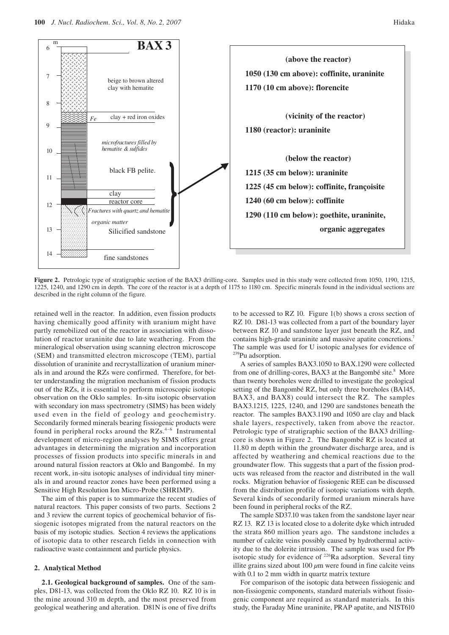

Figure 2. Petrologic type of stratigraphic section of the BAX3 drilling-core. Samples used in this study were collected from 1050, 1190, 1215, 1225, 1240, and 1290 cm in depth. The core of the reactor is at a depth of 1175 to 1180 cm. Specific minerals found in the individual sections are described in the right column of the figure.

retained well in the reactor. In addition, even fission products having chemically good affinity with uranium might have partly remobilized out of the reactor in association with dissolution of reactor uraninite due to late weathering. From the mineralogical observation using scanning electron microscope (SEM) and transmitted electron microscope (TEM), partial dissolution of uraninite and recrystallization of uranium minerals in and around the RZs were confirmed. Therefore, for better understanding the migration mechanism of fission products out of the RZs, it is essential to perform microscopic isotopic observation on the Oklo samples. In-situ isotopic observation with secondary ion mass spectrometry (SIMS) has been widely used even in the field of geology and geochemistry. Secondarily formed minerals bearing fissiogenic products were found in peripheral rocks around the  $RZs$ .<sup>4-6</sup> Instrumental development of micro-region analyses by SIMS offers great advantages in determining the migration and incorporation processes of fission products into specific minerals in and around natural fission reactors at Oklo and Bangombé. In my recent work, in-situ isotopic analyses of individual tiny minerals in and around reactor zones have been performed using a Sensitive High Resolution Ion Micro-Probe (SHRIMP).

The aim of this paper is to summarize the recent studies of natural reactors. This paper consists of two parts. Sections 2 and 3 review the current topics of geochemical behavior of fissiogenic isotopes migrated from the natural reactors on the basis of my isotopic studies. Section 4 reviews the applications of isotopic data to other research fields in connection with radioactive waste containment and particle physics.

# **2. Analytical Method**

**2.1. Geological background of samples.** One of the samples, D81-13, was collected from the Oklo RZ 10. RZ 10 is in the mine around 310 m depth, and the most preserved from geological weathering and alteration. D81N is one of five drifts

to be accessed to RZ 10. Figure 1(b) shows a cross section of RZ 10. D81-13 was collected from a part of the boundary layer between RZ 10 and sandstone layer just beneath the RZ, and contains high-grade uraninite and massive apatite concretions.<sup>7</sup> The sample was used for U isotopic analyses for evidence of 239Pu adsorption.

A series of samples BAX3.1050 to BAX.1290 were collected from one of drilling-cores, BAX3 at the Bangombé site.<sup>8</sup> More than twenty boreholes were drilled to investigate the geological setting of the Bangombé RZ, but only three boreholes (BA145, BAX3, and BAX8) could intersect the RZ. The samples BAX3.1215, 1225, 1240, and 1290 are sandstones beneath the reactor. The samples BAX3.1190 and 1050 are clay and black shale layers, respectively, taken from above the reactor. Petrologic type of stratigraphic section of the BAX3 drillingcore is shown in Figure 2. The Bangombé RZ is located at 11.80 m depth within the groundwater discharge area, and is affected by weathering and chemical reactions due to the groundwater flow. This suggests that a part of the fission products was released from the reactor and distributed in the wall rocks. Migration behavior of fissiogenic REE can be discussed from the distribution profile of isotopic variations with depth. Several kinds of secondarily formed uranium minerals have been found in peripheral rocks of the RZ.

The sample SD37.10 was taken from the sandstone layer near RZ 13. RZ 13 is located close to a dolerite dyke which intruded the strata 860 million years ago. The sandstone includes a number of calcite veins possibly caused by hydrothermal activity due to the dolerite intrusion. The sample was used for Pb isotopic study for evidence of  $^{226}$ Ra adsorption. Several tiny illite grains sized about 100 *µ*m were found in fine calcite veins with 0.1 to 2 mm width in quartz matrix texture

For comparison of the isotopic data between fissiogenic and non-fissiogenic components, standard materials without fissiogenic component are required as standard materials. In this study, the Faraday Mine uraninite, PRAP apatite, and NIST610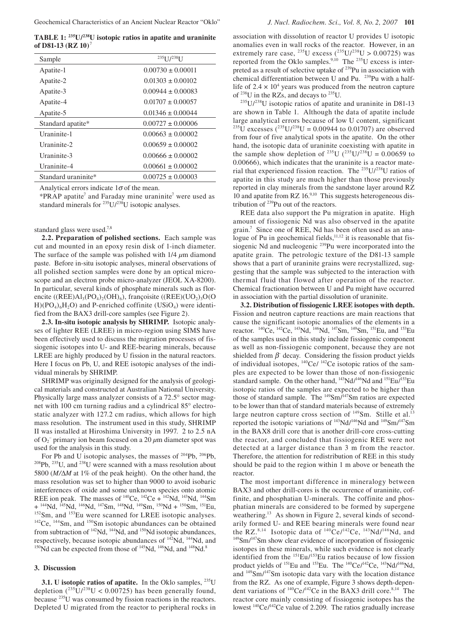**TABLE 1: 235U/238U isotopic ratios in apatite and uraninite of D81-13 (RZ 10)**<sup>7</sup>

| Sample              | $235$ [ $1/238$ ] I   |
|---------------------|-----------------------|
| Apatite-1           | $0.00730 + 0.00011$   |
| Apatite-2           | $0.01303 \pm 0.00102$ |
| Apatite-3           | $0.00944 \pm 0.00083$ |
| Apatite-4           | $0.01707 + 0.00057$   |
| Apatite-5           | $0.01346 \pm 0.00044$ |
| Standard apatite*   | $0.00727 \pm 0.00006$ |
| Uraninite-1         | $0.00663 \pm 0.00002$ |
| Uraninite-2         | $0.00659 \pm 0.00002$ |
| Uraninite-3         | $0.00666 \pm 0.00002$ |
| Uraninite-4         | $0.00661 \pm 0.00002$ |
| Standard uraninite* | $0.00725 \pm 0.00003$ |

Analytical errors indicate  $1\sigma$  of the mean.

\*PRAP apatite<sup>7</sup> and Faraday mine uraninite<sup>7</sup> were used as standard minerals for  $^{235}U/^{238}U$  isotopic analyses.

standard glass were used.7,8

**2.2. Preparation of polished sections.** Each sample was cut and mounted in an epoxy resin disk of 1-inch diameter. The surface of the sample was polished with  $1/4 \mu m$  diamond paste. Before in-situ isotopic analyses, mineral observations of all polished section samples were done by an optical microscope and an electron probe micro-analyzer (JEOL XA-8200). In particular, several kinds of phosphate minerals such as florencite ((REE) $Al_3(PO_4)_2(OH)_6$ ), françoisite ((REE)(UO<sub>2</sub>)<sub>3</sub>O(O  $H$ )(PO<sub>4</sub>)<sub>6</sub>H<sub>2</sub>O) and P-enriched coffinite (USiO<sub>4</sub>) were identified from the BAX3 drill-core samples (see Figure 2).

**2.3. In-situ isotopic analysis by SHRIMP.** Isotopic analyses of lighter REE (LREE) in micro-region using SIMS have been effectively used to discuss the migration processes of fissiogenic isotopes into U- and REE-bearing minerals, because LREE are highly produced by U fission in the natural reactors. Here I focus on Pb, U, and REE isotopic analyses of the individual minerals by SHRIMP.

SHRIMP was originally designed for the analysis of geological materials and constructed at Australian National University. Physically large mass analyzer consists of a 72.5° sector magnet with 100 cm turning radius and a cylindrical 85° electrostatic analyzer with 127.2 cm radius, which allows for high mass resolution. The instrument used in this study, SHRIMP II was installed at Hiroshima University in 1997. 2 to 2.5 nA of O2 – primary ion beam focused on a 20 *µ*m diameter spot was

used for the analysis in this study.<br>For Pb and U isotopic analyses, the masses of  $204Pb$ ,  $206Pb$ ,  $^{208}Pb$ ,  $^{235}U$ , and  $^{238}U$  were scanned with a mass resolution about 5800 (*M/*∆*M* at 1% of the peak height). On the other hand, the mass resolution was set to higher than 9000 to avoid isobaric interferences of oxide and some unknown species onto atomic REE ion peak. The masses of <sup>140</sup>Ce, <sup>142</sup>Ce + <sup>142</sup>Nd, <sup>143</sup>Nd, <sup>144</sup>Sm + <sup>144</sup>Nd, <sup>145</sup>Nd, <sup>146</sup>Nd, <sup>146</sup>Sm, <sup>148</sup>Nd, <sup>148</sup>Sm, <sup>150</sup>Nd + <sup>150</sup>Sm, <sup>151</sup>Eu,  $^{152}$ Sm, and  $^{153}$ Eu were scanned for LREE isotopic analyses.  $^{142}$ Ce,  $^{144}$ Sm, and  $^{150}$ Sm isotopic abundances can be obtained from subtraction of <sup>142</sup>Nd, <sup>144</sup>Nd, and <sup>150</sup>Nd isotopic abundances, respectively, because isotopic abundances of  $\frac{142}{14}Nd$ ,  $\frac{144}{14}Nd$ , and  $\frac{150}{148}Nd$  can be expected from those of  $\frac{145}{14}Nd$ ,  $\frac{146}{14}Nd$ , and  $\frac{148}{14}Nd$ .

# **3. Discussion**

**3.1.** U isotopic ratios of apatite. In the Oklo samples, <sup>235</sup>U depletion  $(^{235}U/^{238}U < 0.00725)$  has been generally found, because 235U was consumed by fission reactions in the reactors. Depleted U migrated from the reactor to peripheral rocks in

association with dissolution of reactor U provides U isotopic anomalies even in wall rocks of the reactor. However, in an extremely rare case, <sup>235</sup>U excess (<sup>235</sup>U/<sup>238</sup>U > 0.00725) was reported from the Oklo samples.<sup>9,10</sup> The <sup>235</sup>U excess is interpreted as a result of selective uptake of 239Pu in association with chemical differentiation between U and Pu. <sup>239</sup>Pu with a halflife of  $2.4 \times 10^4$  years was produced from the neutron capture of 238U in the RZs, and decays to 235U.

 $235U/238U$  isotopic ratios of apatite and uraninite in D81-13 are shown in Table 1. Although the data of apatite include large analytical errors because of low U content, significant <sup>235</sup>U excesses (<sup>235</sup>U/<sup>238</sup>U = 0.00944 to 0.01707) are observed from four of five analytical spots in the apatite. On the other hand, the isotopic data of uraninite coexisting with apatite in the sample show depletion of <sup>235</sup>U (<sup>235</sup>U/<sup>238</sup>U = 0.00659 to 0.00666), which indicates that the uraninite is a reactor material that experienced fission reaction. The 235U/238U ratios of apatite in this study are much higher than those previously reported in clay minerals from the sandstone layer around RZ  $10$  and apatite from RZ  $16^{9,10}$ . This suggests heterogeneous distribution of 239Pu out of the reactors.

REE data also support the Pu migration in apatite. High amount of fissiogenic Nd was also observed in the apatite grain.7 Since one of REE, Nd has been often used as an analogue of Pu in geochemical fields, $11,12$  it is reasonable that fissiogenic Nd and nucleogenic 239Pu were incorporated into the apatite grain. The petrologic texture of the D81-13 sample shows that a part of uraninite grains were recrystallized, suggesting that the sample was subjected to the interaction with thermal fluid that flowed after operation of the reactor. Chemical fractionation between U and Pu might have occurred in association with the partial dissolution of uraninite.

**3.2. Distribution of fissiogenic LREE isotopes with depth.**  Fission and neutron capture reactions are main reactions that cause the significant isotopic anomalies of the elements in a reactor. <sup>140</sup>Ce, <sup>142</sup>Ce, <sup>143</sup>Nd, <sup>146</sup>Nd, <sup>147</sup>Sm, <sup>149</sup>Sm, <sup>151</sup>Eu, and <sup>153</sup>Eu of the samples used in this study include fissiogenic component as well as non-fissiogenic component, because they are not shielded from  $\beta$  decay. Considering the fission product yields of individual isotopes, 140Ce/ 142Ce isotopic ratios of the samples are expected to be lower than those of non-fissiogenic standard sample. On the other hand, <sup>143</sup>Nd/<sup>146</sup>Nd and <sup>151</sup>Eu/<sup>153</sup>Eu isotopic ratios of the samples are expected to be higher than those of standard sample. The 149Sm/147Sm ratios are expected to be lower than that of standard materials because of extremely large neutron capture cross section of  $149$ Sm. Stille et al.<sup>13</sup> reported the isotopic variations of 143Nd/146Nd and 149Sm/147Sm in the BAX8 drill core that is another drill-core cross-cutting the reactor, and concluded that fissiogenic REE were not detected at a larger distance than 3 m from the reactor. Therefore, the attention for redistribution of REE in this study should be paid to the region within 1 m above or beneath the reactor.

The most important difference in mineralogy between BAX3 and other drill-cores is the occurrence of uraninite, coffinite, and phosphatian U-minerals. The coffinite and phosphatian minerals are considered to be formed by supergene weathering.<sup>13</sup> As shown in Figure 2, several kinds of secondarily formed U- and REE bearing minerals were found near<br>the RZ.<sup>8,14</sup> Isotopic data of  $\frac{140}{C}$ e/ $\frac{142}{C}$ e,  $\frac{143}{N}$ Nd/ $\frac{146}{N}$ Nd, and  $149$ Sm/<sup>147</sup>Sm show clear evidence of incorporation of fissiogenic isotopes in these minerals, while such evidence is not clearly identified from the 151Eu/153Eu ratios because of low fission product yields of <sup>151</sup>Eu and <sup>153</sup>Eu. The <sup>140</sup>Ce/<sup>142</sup>Ce, <sup>143</sup>Nd/<sup>146</sup>Nd, and 149Sm/147Sm isotopic data vary with the location distance from the RZ. As one of example, Figure 3 shows depth-dependent variations of  $^{140}$ Ce/ $^{142}$ Ce in the BAX3 drill core.<sup>8,14</sup> The reactor core mainly consisting of fissiogenic isotopes has the lowest  $140$ Ce/ $142$ Ce value of 2.209. The ratios gradually increase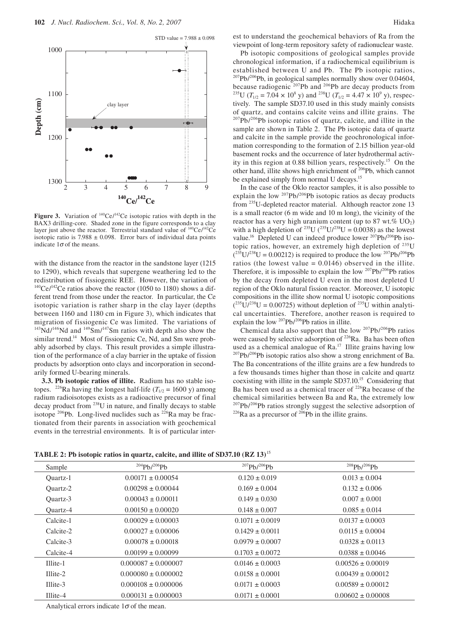

Figure 3. Variation of <sup>140</sup>Ce/<sup>142</sup>Ce isotopic ratios with depth in the BAX3 drilling-core. Shaded zone in the figure corresponds to a clay layer just above the reactor. Terrestrial standard value of  $140$ Ce/ $142$ Ce isotopic ratio is  $7.988 \pm 0.098$ . Error bars of individual data points indicate  $1\sigma$  of the means.

with the distance from the reactor in the sandstone layer (1215 to 1290), which reveals that supergene weathering led to the redistribution of fissiogenic REE. However, the variation of  $140$ Ce/ $142$ Ce ratios above the reactor (1050 to 1180) shows a different trend from those under the reactor. In particular, the Ce isotopic variation is rather sharp in the clay layer (depths between 1160 and 1180 cm in Figure 3), which indicates that migration of fissiogenic Ce was limited. The variations of  $143\text{Nd}/146\text{Nd}$  and  $149\text{Sm}/147\text{Sm}$  ratios with depth also show the similar trend.<sup>14</sup> Most of fissiogenic Ce, Nd, and Sm were probably adsorbed by clays. This result provides a simple illustration of the performance of a clay barrier in the uptake of fission products by adsorption onto clays and incorporation in secondarily formed U-bearing minerals.

**3.3. Pb isotopic ratios of illite.** Radium has no stable isotopes. <sup>226</sup>Ra having the longest half-life ( $T_{1/2}$  = 1600 y) among radium radioisotopes exists as a radioactive precursor of final decay product from 238U in nature, and finally decays to stable isotope  $^{206}$ Pb. Long-lived nuclides such as  $^{226}$ Ra may be fractionated from their parents in association with geochemical events in the terrestrial environments. It is of particular interest to understand the geochemical behaviors of Ra from the viewpoint of long-term repository safety of radionuclear waste.

Pb isotopic compositions of geological samples provide chronological information, if a radiochemical equilibrium is established between U and Pb. The Pb isotopic ratios,  $207Pb/206Pb$ , in geological samples normally show over 0.04604, because radiogenic <sup>207</sup>Pb and <sup>206</sup>Pb are decay products from<br><sup>235</sup>U ( $T_{1/2}$  = 7.04 × 10<sup>8</sup> y) and <sup>238</sup>U ( $T_{1/2}$  = 4.47 × 10<sup>9</sup> y), respectively. The sample SD37.10 used in this study mainly consists of quartz, and contains calcite veins and illite grains. The  $^{207}Pb/^{206}Pb$  isotopic ratios of quartz, calcite, and illite in the sample are shown in Table 2. The Pb isotopic data of quartz and calcite in the sample provide the geochronological information corresponding to the formation of 2.15 billion year-old basement rocks and the occurrence of later hydrothermal activity in this region at 0.88 billion years, respectively.15 On the other hand, illite shows high enrichment of <sup>206</sup>Pb, which cannot be explained simply from normal U decays.<sup>15</sup>

In the case of the Oklo reactor samples, it is also possible to explain the low  $^{207}Pb/^{206}Pb$  isotopic ratios as decay products from 235U-depleted reactor material. Although reactor zone 13 is a small reactor (6 m wide and 10 m long), the vicinity of the reactor has a very high uranium content (up to 87 wt.%  $UO<sub>2</sub>$ ) with a high depletion of <sup>235</sup>U (<sup>235</sup>U/<sup>238</sup>U = 0.0038) as the lowest value.<sup>16</sup> Depleted U can indeed produce lower <sup>207</sup>Pb/<sup>206</sup>Pb isotopic ratios, however, an extremely high depletion of  $^{235}$ U  $(^{235}U/^{238}U = 0.00212$ ) is required to produce the low  $^{207}Pb/^{206}Pb$ ratios (the lowest value  $= 0.0146$ ) observed in the illite. Therefore, it is impossible to explain the low  $207Pb/206Pb$  ratios by the decay from depleted U even in the most depleted U region of the Oklo natural fission reactor. Moreover, U isotopic compositions in the illite show normal U isotopic compositions  $(^{235}U/^{238}U = 0.00725)$  without depletion of <sup>235</sup>U within analytical uncertainties. Therefore, another reason is required to explain the low  $^{207}Pb/^{206}Pb$  ratios in illite.

Chemical data also support that the low  $207Pb/206Pb$  ratios were caused by selective adsorption of <sup>226</sup>Ra. Ba has been often used as a chemical analogue of Ra.<sup>17</sup> Illite grains having low  $^{207}Pb/^{206}Pb$  isotopic ratios also show a strong enrichment of Ba. The Ba concentrations of the illite grains are a few hundreds to a few thousands times higher than those in calcite and quartz coexisting with illite in the sample SD37.10.15 Considering that Ba has been used as a chemical tracer of <sup>226</sup>Ra because of the chemical similarities between Ba and Ra, the extremely low <sup>207</sup>Pb/<sup>206</sup>Pb ratios strongly suggest the selective adsorption of <sup>226</sup>Ra as a precursor of <sup>206</sup>Pb in the illite grains.

| TABLE 2: Pb isotopic ratios in quartz, calcite, and illite of SD37.10 (RZ 13) <sup>15</sup> |  |  |  |  |  |
|---------------------------------------------------------------------------------------------|--|--|--|--|--|
|---------------------------------------------------------------------------------------------|--|--|--|--|--|

| Sample    | $^{204}Ph/^{206}Ph$     | $^{207}Pb/^{206}Pb$ | $^{208}Ph/^{206}Ph$   |
|-----------|-------------------------|---------------------|-----------------------|
| Ouartz-1  | $0.00171 \pm 0.00054$   | $0.120 \pm 0.019$   | $0.013 \pm 0.004$     |
| Ouartz-2  | $0.00298 \pm 0.00044$   | $0.169 \pm 0.004$   | $0.132 \pm 0.006$     |
| Ouartz-3  | $0.00043 \pm 0.00011$   | $0.149 \pm 0.030$   | $0.007 \pm 0.001$     |
| Ouartz-4  | $0.00150 \pm 0.00020$   | $0.148 \pm 0.007$   | $0.085 \pm 0.014$     |
| Calcite-1 | $0.00029 \pm 0.00003$   | $0.1071 \pm 0.0019$ | $0.0137 \pm 0.0003$   |
| Calcite-2 | $0.00027 \pm 0.00006$   | $0.1429 \pm 0.0011$ | $0.0115 \pm 0.0004$   |
| Calcite-3 | $0.00078 \pm 0.00018$   | $0.0979 \pm 0.0007$ | $0.0328 \pm 0.0113$   |
| Calcite-4 | $0.00199 \pm 0.00099$   | $0.1703 \pm 0.0072$ | $0.0388 \pm 0.0046$   |
| Illite-1  | $0.000087 \pm 0.000007$ | $0.0146 \pm 0.0003$ | $0.00526 \pm 0.00019$ |
| Illite-2  | $0.000080 \pm 0.000002$ | $0.0158 \pm 0.0001$ | $0.00439 \pm 0.00012$ |
| Illite-3  | $0.000108 \pm 0.000006$ | $0.0171 \pm 0.0003$ | $0.00589 \pm 0.00012$ |
| Illite-4  | $0.000131 \pm 0.000003$ | $0.0171 \pm 0.0001$ | $0.00602 \pm 0.00008$ |

Analytical errors indicate  $1\sigma$  of the mean.